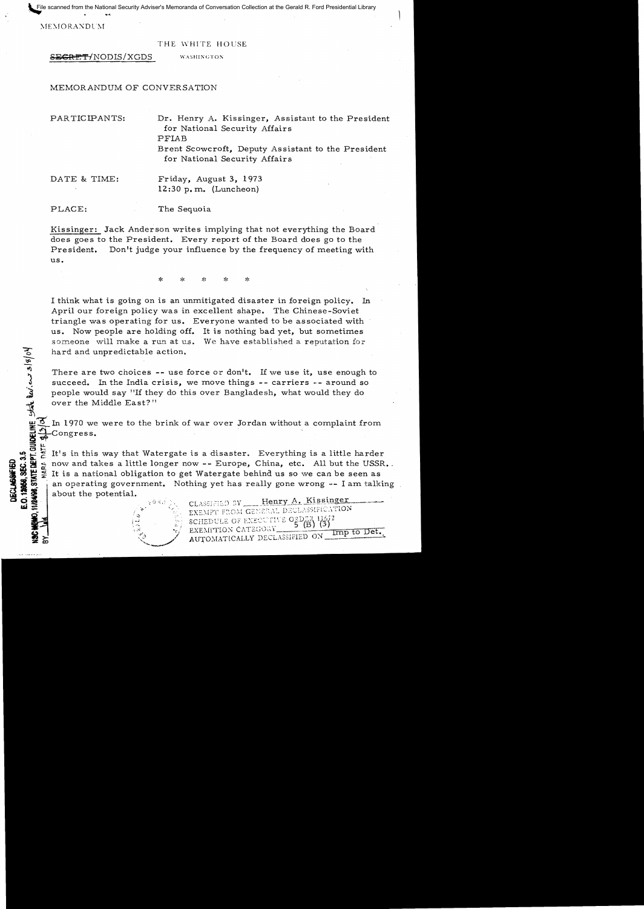File scanned from the National Security Adviser's Memoranda of Conversation Collection at the Gerald R. Ford Presidential Library

MEMORANDUM

3/8/04

三 <u>.</u>u.

**HoI.,:...** ,

#### THE WHITE HOUSE

SECRET/NODIS/XGDS WASHINGTON

## MEMORANDUM OF CONVERSATION

| PARTICIPANTS: | Dr. Henry A. Kissinger, Assistant to the President<br>for National Security Affairs<br>PFIAB<br>Brent Scowcroft, Deputy Assistant to the President<br>for National Security Affairs |
|---------------|-------------------------------------------------------------------------------------------------------------------------------------------------------------------------------------|
| DATE & TIME:  | Friday, August 3, 1973<br>$12:30 p.m.$ (Luncheon)                                                                                                                                   |
| PLACE:        | The Sequoia                                                                                                                                                                         |

Kissinger: Jack Anderson writes implying that not everything the Board does goes to the President. Every report of the Board does go to the President. Don't judge your influence by the frequency of meeting with us.

> $\mathbf{x}$ \* \* \*

I think what is going on is an unmitigated disaster in foreign policy. In April our foreign policy was in excellent shape. The Chinese-Soviet triangle was operating for us. Everyone wanted to be associated with us. Now people are holding off. It is nothing bad yet, but sometimes someone will make a run at us. We have established a reputation for hard and unpredictable action.

There are two choices  $-$ - use force or don't. If we use it, use enough to succeed. In the India crisis, we move things  $-$ - carriers  $-$  around so people would say "If they do this over Bangladesh, what would they do over the Middle East?"

In 1970 we were to the brink of war over Jordan without a complaint from Congress. र्क

(2) It's in this way that Watergate is a disaster. Everything is a little harder<br>
Substitute now and takes a little longer now -- Europe, China, etc. All but the USSR<br>
Substitute is a national obligation to get Watergate b now and takes a little longer now -- Europe, China, etc. All but the USSR. It is a national obligation to get Watergate behind us so we can be seen as **if**  $\frac{1}{2}$   $\frac{1}{2}$  and  $\frac{1}{2}$  It is a national obligation to get Watergate behind us so we can be seen as<br> **30**  $\frac{1}{2}$  It is a national obligation to get Watergate behind us so we can be seen as<br> **30**  $\frac{1}{2}$ 

 $z_i$  ;

 $\tilde{x}$ , .... ... ...  $\tilde{y}$ 

SCHEDULE OF EXECUTIVE ORDE ΈiΣ EXEMPTION CATEGORY Imp to Det.  $~z$  /  $~$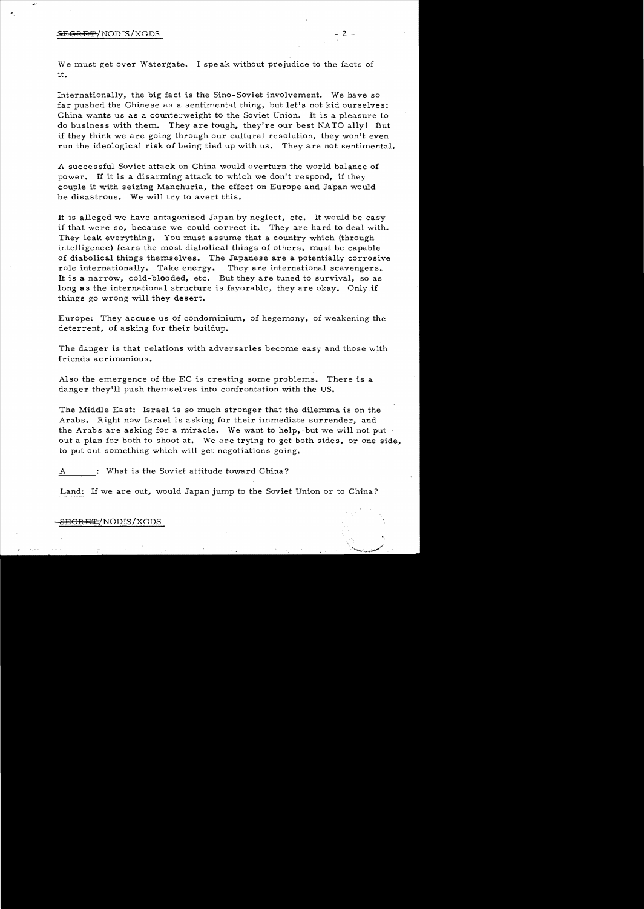### $\overline{\text{SEGRB}}\text{f/NODIS/XGDS}$  - 2 -

We must get over Watergate. I spe ak without prejudice to the facts of it.

Internationally, the big fact is the Sino-Soviet involvement. We have so far pushed the Chinese as a sentimental thing, but let's not kid ourselves: China wants us as a counte::weight to the Soviet Union. It is a pleasure to do business with them. They are tough, they're our best NATO ally! But if they think we are going through our cultural resolution, they won't even run the ideological risk of being tied up with us. They are not sentimental.

A successful Soviet attack on China would overturn the world balance of power. If it is a disarming attack to which we don't respond, if they couple it with seizing Manchuria, the effect on Europe and Japan would be disastrous. We will try to avert this.

It is alleged we have antagonized Japan by neglect, etc. It would be easy if that were so, because we could correct it. They are hard to deal with. They leak everything. You must assume that a country which (through intelligence) fears the most diabolical things of others, must be capable of diabolical things themselves. The Japanese are a potentially corrosive role internationally. Take energy. They are international scavengers. It is a narrow, cold-blooded, etc. But they are tuned to survival, so as long as the international structure is favorable, they are okay. Only.if things go wrong will they desert.

Europe: They accuse us of condominium, of hegemony, of weakening the deterrent, of asking for their buildup.

The danger is that relations with adversaries become easy and those with friends acrimonious.

Also the emergence of the EC is creating some problems. There is a danger they'll push themselves into confrontation with the US.

The Middle East: Israel is so much stronger that the dilemma is on the Arabs. Right now Israel is asking for their immediate surrender, and the Arabs are asking for a miracle. We want to help, but we will not put out a plan for both to shoot at. We are trying to get both sides, or one side, to put out something which will get negotiations going.

A What is the Soviet attitude toward China?

Land: If we are out, would Japan jump to the Soviet Union or to China?

## <del>EGRET</del>/NODIS/XGDS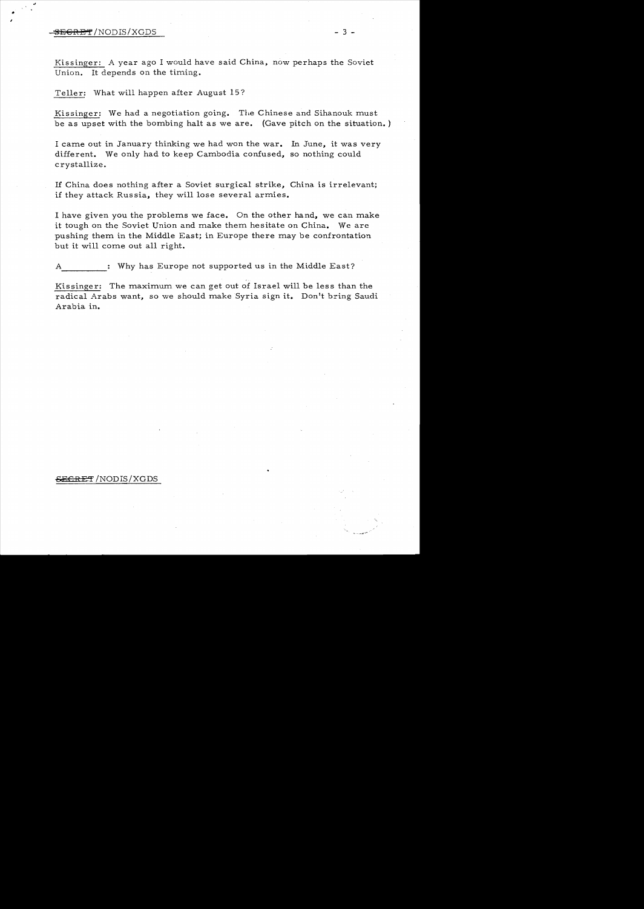# SECRET/NODIS/XGDS - 3 -

•

Kissinger: A year ago I would have said China, now perhaps the Soviet Union. It depends on the timing.

Teller: What will happen after August 15?

Kissinger: We had a negotiation going. The Chinese and Sihanouk must be as upset with the bombing halt as we are. (Gave pitch on the situation. )

I came out in January thinking we had won the war. In June, it was very different. We only had to keep Cambodia confused, so nothing could crystallize.

If China does nothing after a Soviet surgical strike, China is irrelevant; if they attack Russia, they will lose several armies.

I have given you the problems we face. On the other hand, we can make it tough on the Soviet Union and make them hesitate on China. We are pushing them in the Middle East; in Europe there may be confrontation but it will come out all right.

----- : Why has Europe not supported us in the Middle East?

Kissinger: The maximum we can get out of Israel will be less than the radical Arabs want, so we should make Syria sign it. Don't bring Saudi Arabia in.

## <del>SECRET</del> /NODIS/XGDS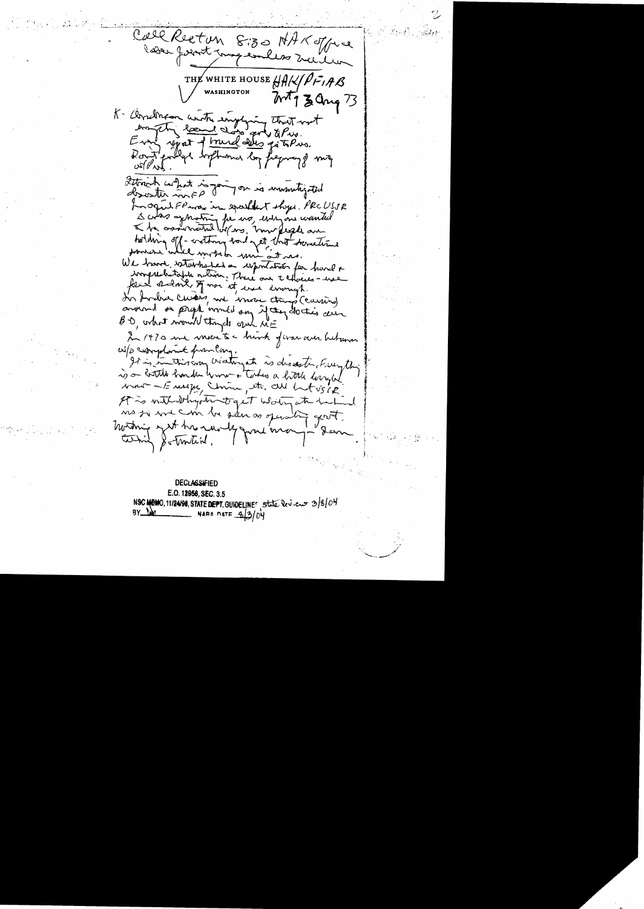Call Recton 8:30 NAKoffre leder formt magement melles THE WHITE HOUSE HAK PFIAB WASHINGTON  $2017$  Jang 73 K- Cerrelman anothe ingeling that not Even yest of brund delles go to Pus. Don't polly softmomer by frequency me  $\alpha$ Strich what is going on is immutigated For opin FP was in speakent show. PRCUSSR I colas approting for us, every one wanted bolding off-crothing had net that sometime somere while month min at me. We have startated a uportation for hard & imprehentable ortion. There are thousandsfree second, of non it, were enough. In Indra Cursois, we wrote transf (carring) around on peroph armed on if they do this can BD, what would thingels and NE In 1970 me vouse te hink fevar aur hetrana W/D complaint from long It is interesting Wateryate, is describing Freeything is a bottle harden work + Tokes a hittle longed want - Europe, Unin, etc. all het vs ip It is with deligate to get work when he had no si we can be selen as operating good. Westwing with his run by grow one Whil & Trontine.

**DECLASSIFIED** E.O. 12958, SEC. 3.5 NSC MEMO, 11/24/98, STATE DEPT. GUNDELINES State levices 3/8/04 NARA DATE 8/3/04  $BY_LM$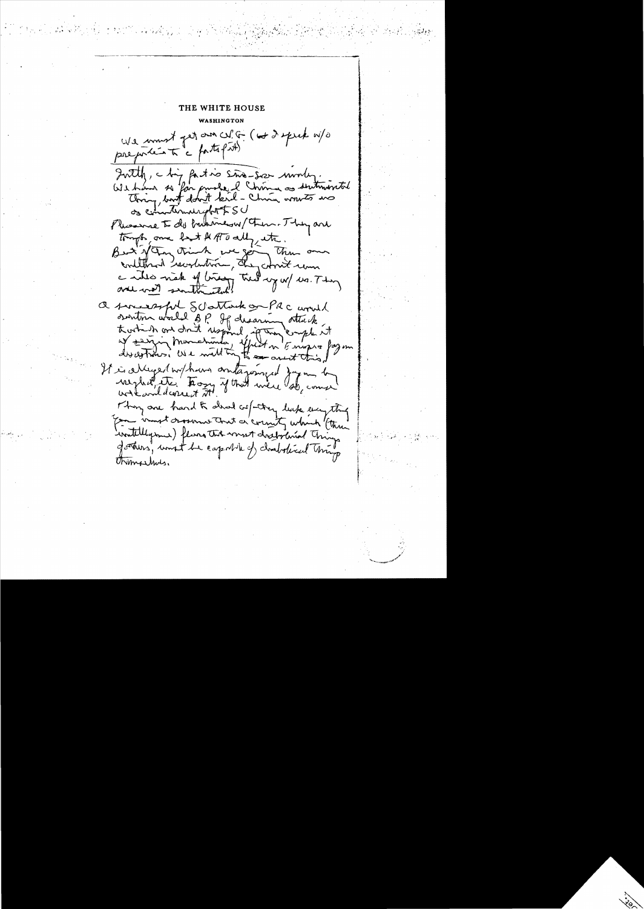THE WHITE HOUSE **WASHINGTON** We must get an city ( w I speak w/o preporter to a fatofith Intely, chip faction sine-size monley. We have so for purse I chim as sentimental Thing, but don't kil - China wow to no of communications Phissing I do but mesa them. They are tompts, one boot A ATO ally etc. But you trink we got the own a will wak of bridge the wy w/ us. They a successful Schattack or PRC would sontin world of If desaring attack af sarring Mondetunda, effect on Empre fazon It is alleged without antagonized Japan b weight, the Trong of that were do, come work wild correct st. They are hard to alread col-they leak everything for innet dessame that a correct which "(there watellyme ) flang the most drabolisal chings Jothers, unst be capitale of chabitical things Unimashus.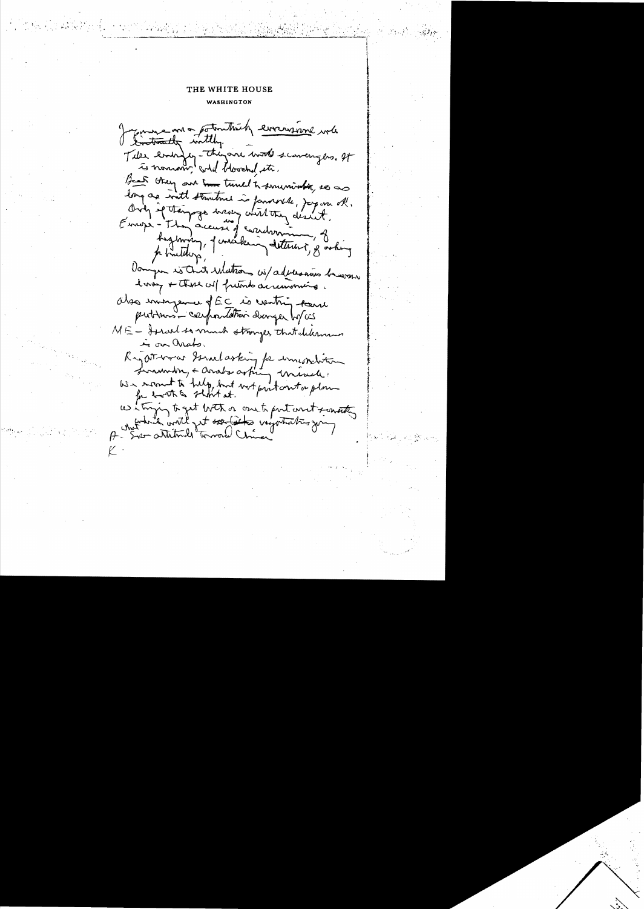### THE WHITE HOUSE

WASHINGTON

Conservation thick everyone will Tiles endingly-theyare work scavery as, It is nomon will blooched it. Beat they are true tuned to summont, so as long as with stantine is favorable, Joy on of. Only if then page were with they disn't. Europe - They accuse j'assistant highway, Juniking determine of acting phillips, Dompon is that Matrons wi/advantus brown larsy + there will friends acrimoning. Observangement de la contriguera putinos - capandation durager boyces ME - Israel to much stronges that delerman in on anato. Reportman Sonal asking for important Surmin, + anals orbing unsuel We scout to tulp, but not put out a plan us it trying to get both or one to port and scouting